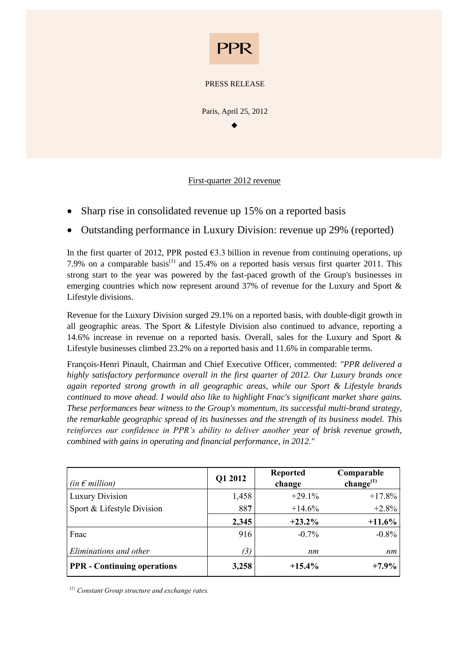

PRESS RELEASE

Paris, April 25, 2012  $\blacklozenge$ 

First-quarter 2012 revenue

- Sharp rise in consolidated revenue up 15% on a reported basis
- Outstanding performance in Luxury Division: revenue up 29% (reported)

In the first quarter of 2012, PPR posted  $\epsilon$ 3.3 billion in revenue from continuing operations, up 7.9% on a comparable basis<sup>(1)</sup> and 15.4% on a reported basis versus first quarter 2011. This strong start to the year was powered by the fast-paced growth of the Group's businesses in emerging countries which now represent around 37% of revenue for the Luxury and Sport & Lifestyle divisions.

Revenue for the Luxury Division surged 29.1% on a reported basis, with double-digit growth in all geographic areas. The Sport & Lifestyle Division also continued to advance, reporting a 14.6% increase in revenue on a reported basis. Overall, sales for the Luxury and Sport & Lifestyle businesses climbed 23.2% on a reported basis and 11.6% in comparable terms.

François-Henri Pinault, Chairman and Chief Executive Officer, commented: *"PPR delivered a highly satisfactory performance overall in the first quarter of 2012. Our Luxury brands once again reported strong growth in all geographic areas, while our Sport & Lifestyle brands continued to move ahead. I would also like to highlight Fnac's significant market share gains. These performances bear witness to the Group's momentum, its successful multi-brand strategy, the remarkable geographic spread of its businesses and the strength of its business model. This reinforces our confidence in PPR's ability to deliver another year of brisk revenue growth, combined with gains in operating and financial performance, in 2012."*

| (in $\epsilon$ million)            | Q1 2012 | <b>Reported</b><br>change | Comparable<br>change $^{(1)}$ |
|------------------------------------|---------|---------------------------|-------------------------------|
| <b>Luxury Division</b>             | 1,458   | $+29.1%$                  | $+17.8\%$                     |
| Sport & Lifestyle Division         | 887     | $+14.6%$                  | $+2.8%$                       |
|                                    | 2,345   | $+23.2\%$                 | $+11.6%$                      |
| Fnac                               | 916     | $-0.7\%$                  | $-0.8\%$                      |
| Eliminations and other             | (3)     | nm                        | nm                            |
| <b>PPR</b> - Continuing operations | 3,258   | $+15.4\%$                 | $+7.9\%$                      |

*(1) Constant Group structure and exchange rates.*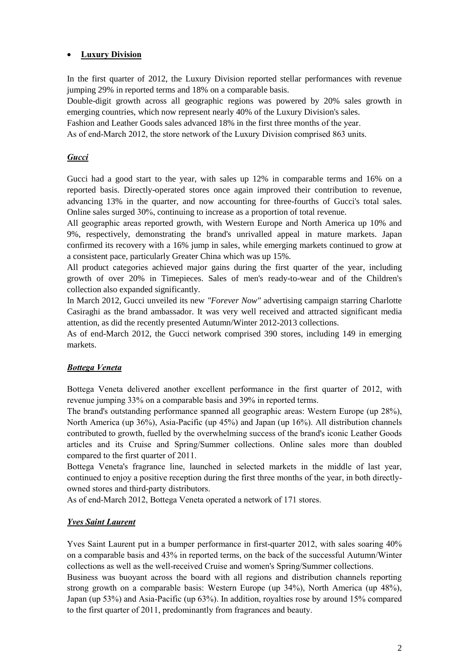# **Luxury Division**

In the first quarter of 2012, the Luxury Division reported stellar performances with revenue jumping 29% in reported terms and 18% on a comparable basis.

Double-digit growth across all geographic regions was powered by 20% sales growth in emerging countries, which now represent nearly 40% of the Luxury Division's sales.

Fashion and Leather Goods sales advanced 18% in the first three months of the year.

As of end-March 2012, the store network of the Luxury Division comprised 863 units.

# *Gucci*

Gucci had a good start to the year, with sales up 12% in comparable terms and 16% on a reported basis. Directly-operated stores once again improved their contribution to revenue, advancing 13% in the quarter, and now accounting for three-fourths of Gucci's total sales. Online sales surged 30%, continuing to increase as a proportion of total revenue.

All geographic areas reported growth, with Western Europe and North America up 10% and 9%, respectively, demonstrating the brand's unrivalled appeal in mature markets. Japan confirmed its recovery with a 16% jump in sales, while emerging markets continued to grow at a consistent pace, particularly Greater China which was up 15%.

All product categories achieved major gains during the first quarter of the year, including growth of over 20% in Timepieces. Sales of men's ready-to-wear and of the Children's collection also expanded significantly.

In March 2012, Gucci unveiled its new *"Forever Now"* advertising campaign starring Charlotte Casiraghi as the brand ambassador. It was very well received and attracted significant media attention, as did the recently presented Autumn/Winter 2012-2013 collections.

As of end-March 2012, the Gucci network comprised 390 stores, including 149 in emerging markets.

#### *Bottega Veneta*

Bottega Veneta delivered another excellent performance in the first quarter of 2012, with revenue jumping 33% on a comparable basis and 39% in reported terms.

The brand's outstanding performance spanned all geographic areas: Western Europe (up 28%), North America (up 36%), Asia-Pacific (up 45%) and Japan (up 16%). All distribution channels contributed to growth, fuelled by the overwhelming success of the brand's iconic Leather Goods articles and its Cruise and Spring/Summer collections. Online sales more than doubled compared to the first quarter of 2011.

Bottega Veneta's fragrance line, launched in selected markets in the middle of last year, continued to enjoy a positive reception during the first three months of the year, in both directlyowned stores and third-party distributors.

As of end-March 2012, Bottega Veneta operated a network of 171 stores.

#### *Yves Saint Laurent*

Yves Saint Laurent put in a bumper performance in first-quarter 2012, with sales soaring 40% on a comparable basis and 43% in reported terms, on the back of the successful Autumn/Winter collections as well as the well-received Cruise and women's Spring/Summer collections.

Business was buoyant across the board with all regions and distribution channels reporting strong growth on a comparable basis: Western Europe (up 34%), North America (up 48%), Japan (up 53%) and Asia-Pacific (up 63%). In addition, royalties rose by around 15% compared to the first quarter of 2011, predominantly from fragrances and beauty.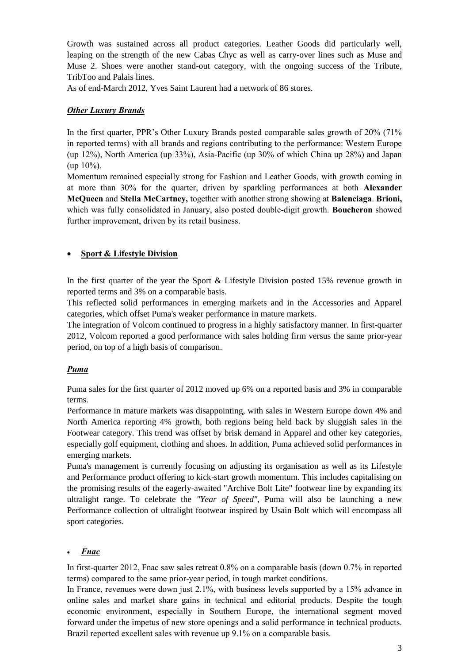Growth was sustained across all product categories. Leather Goods did particularly well, leaping on the strength of the new Cabas Chyc as well as carry-over lines such as Muse and Muse 2. Shoes were another stand-out category, with the ongoing success of the Tribute, TribToo and Palais lines.

As of end-March 2012, Yves Saint Laurent had a network of 86 stores.

#### *Other Luxury Brands*

In the first quarter, PPR's Other Luxury Brands posted comparable sales growth of 20% (71% in reported terms) with all brands and regions contributing to the performance: Western Europe (up 12%), North America (up 33%), Asia-Pacific (up 30% of which China up 28%) and Japan (up 10%).

Momentum remained especially strong for Fashion and Leather Goods, with growth coming in at more than 30% for the quarter, driven by sparkling performances at both **Alexander McQueen** and **Stella McCartney,** together with another strong showing at **Balenciaga**. **Brioni,** which was fully consolidated in January, also posted double-digit growth. **Boucheron** showed further improvement, driven by its retail business.

#### **Sport & Lifestyle Division**

In the first quarter of the year the Sport & Lifestyle Division posted 15% revenue growth in reported terms and 3% on a comparable basis.

This reflected solid performances in emerging markets and in the Accessories and Apparel categories, which offset Puma's weaker performance in mature markets.

The integration of Volcom continued to progress in a highly satisfactory manner. In first-quarter 2012, Volcom reported a good performance with sales holding firm versus the same prior-year period, on top of a high basis of comparison.

#### *Puma*

Puma sales for the first quarter of 2012 moved up 6% on a reported basis and 3% in comparable terms.

Performance in mature markets was disappointing, with sales in Western Europe down 4% and North America reporting 4% growth, both regions being held back by sluggish sales in the Footwear category. This trend was offset by brisk demand in Apparel and other key categories, especially golf equipment, clothing and shoes. In addition, Puma achieved solid performances in emerging markets.

Puma's management is currently focusing on adjusting its organisation as well as its Lifestyle and Performance product offering to kick-start growth momentum. This includes capitalising on the promising results of the eagerly-awaited "Archive Bolt Lite" footwear line by expanding its ultralight range. To celebrate the *"Year of Speed",* Puma will also be launching a new Performance collection of ultralight footwear inspired by Usain Bolt which will encompass all sport categories.

#### *Fnac*

In first-quarter 2012, Fnac saw sales retreat 0.8% on a comparable basis (down 0.7% in reported terms) compared to the same prior-year period, in tough market conditions.

In France, revenues were down just 2.1%, with business levels supported by a 15% advance in online sales and market share gains in technical and editorial products. Despite the tough economic environment, especially in Southern Europe, the international segment moved forward under the impetus of new store openings and a solid performance in technical products. Brazil reported excellent sales with revenue up 9.1% on a comparable basis.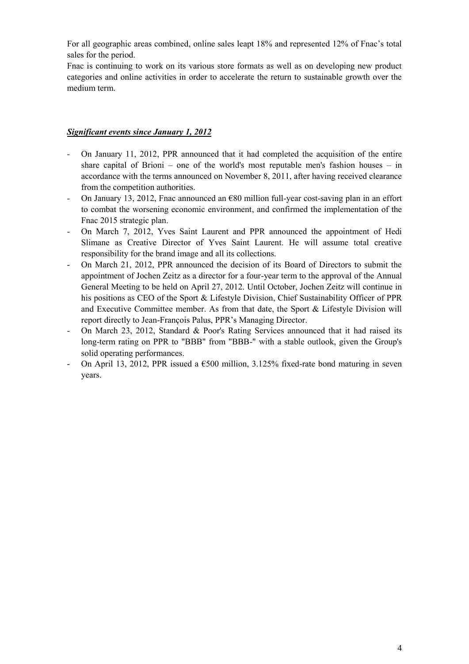For all geographic areas combined, online sales leapt 18% and represented 12% of Fnac's total sales for the period.

Fnac is continuing to work on its various store formats as well as on developing new product categories and online activities in order to accelerate the return to sustainable growth over the medium term.

# *Significant events since January 1, 2012*

- On January 11, 2012, PPR announced that it had completed the acquisition of the entire share capital of Brioni – one of the world's most reputable men's fashion houses – in accordance with the terms announced on November 8, 2011, after having received clearance from the competition authorities.
- On January 13, 2012, Fnac announced an  $\epsilon$ 80 million full-year cost-saving plan in an effort to combat the worsening economic environment, and confirmed the implementation of the Fnac 2015 strategic plan.
- On March 7, 2012, Yves Saint Laurent and PPR announced the appointment of Hedi Slimane as Creative Director of Yves Saint Laurent. He will assume total creative responsibility for the brand image and all its collections.
- On March 21, 2012, PPR announced the decision of its Board of Directors to submit the appointment of Jochen Zeitz as a director for a four-year term to the approval of the Annual General Meeting to be held on April 27, 2012. Until October, Jochen Zeitz will continue in his positions as CEO of the Sport & Lifestyle Division, Chief Sustainability Officer of PPR and Executive Committee member. As from that date, the Sport & Lifestyle Division will report directly to Jean-François Palus, PPR's Managing Director.
- On March 23, 2012, Standard & Poor's Rating Services announced that it had raised its long-term rating on PPR to "BBB" from "BBB-" with a stable outlook, given the Group's solid operating performances.
- On April 13, 2012, PPR issued a  $\epsilon$ 500 million, 3.125% fixed-rate bond maturing in seven years.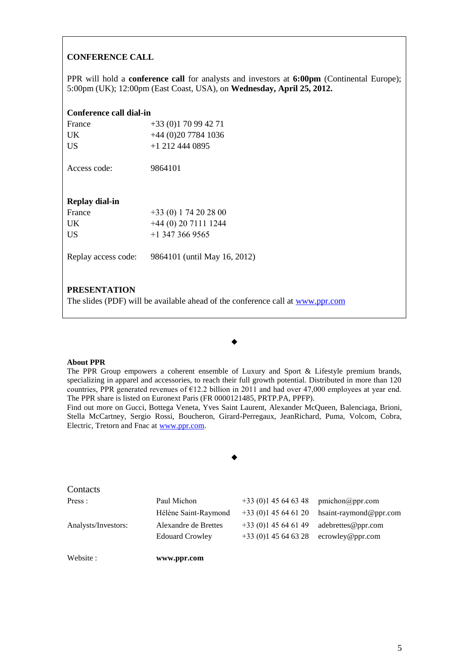#### **CONFERENCE CALL**

PPR will hold a **conference call** for analysts and investors at **6:00pm** (Continental Europe); 5:00pm (UK); 12:00pm (East Coast, USA), on **Wednesday, April 25, 2012.**

### **Conference call dial-in**

| France<br><b>UK</b><br>US | $+33(0)170994271$<br>$+44(0)2077841036$<br>$+1$ 212 444 0895 |
|---------------------------|--------------------------------------------------------------|
| Access code:              | 9864101                                                      |
| Replay dial-in            |                                                              |
| France                    | $+33(0) 174202800$                                           |
| UK                        | $+44(0)$ 20 7111 1244                                        |
| US                        | $+1$ 347 366 9565                                            |
| Replay access code:       | 9864101 (until May 16, 2012)                                 |

#### **PRESENTATION**

The slides (PDF) will be available ahead of the conference call at [www.ppr.com](http://www.ppr.com/)

#### **About PPR**

The PPR Group empowers a coherent ensemble of Luxury and Sport & Lifestyle premium brands, specializing in apparel and accessories, to reach their full growth potential. Distributed in more than 120 countries, PPR generated revenues of  $E12.2$  billion in 2011 and had over 47,000 employees at year end. The PPR share is listed on Euronext Paris (FR 0000121485, PRTP.PA, PPFP).

 $\blacklozenge$ 

Find out more on Gucci, Bottega Veneta, Yves Saint Laurent, Alexander McQueen, Balenciaga, Brioni, Stella McCartney, Sergio Rossi, Boucheron, Girard-Perregaux, JeanRichard, Puma, Volcom, Cobra, Electric, Tretorn and Fnac at [www.ppr.com.](http://www.ppr.com/)

#### $\blacklozenge$

#### **Contacts** Press : Paul Michon +33 (0)1 45 64 63 48 pmichon@ppr.com Hélène Saint-Raymond +33 (0)1 45 64 61 20 hsaint-raymond@ppr.com ecrowley@ppr.com Analysts/Investors: Alexandre de Brettes Edouard Crowley +33 (0)1 45 64 61 49 +33 (0)1 45 64 63 28 adebrettes@ppr.com

Website : **www.ppr.com**